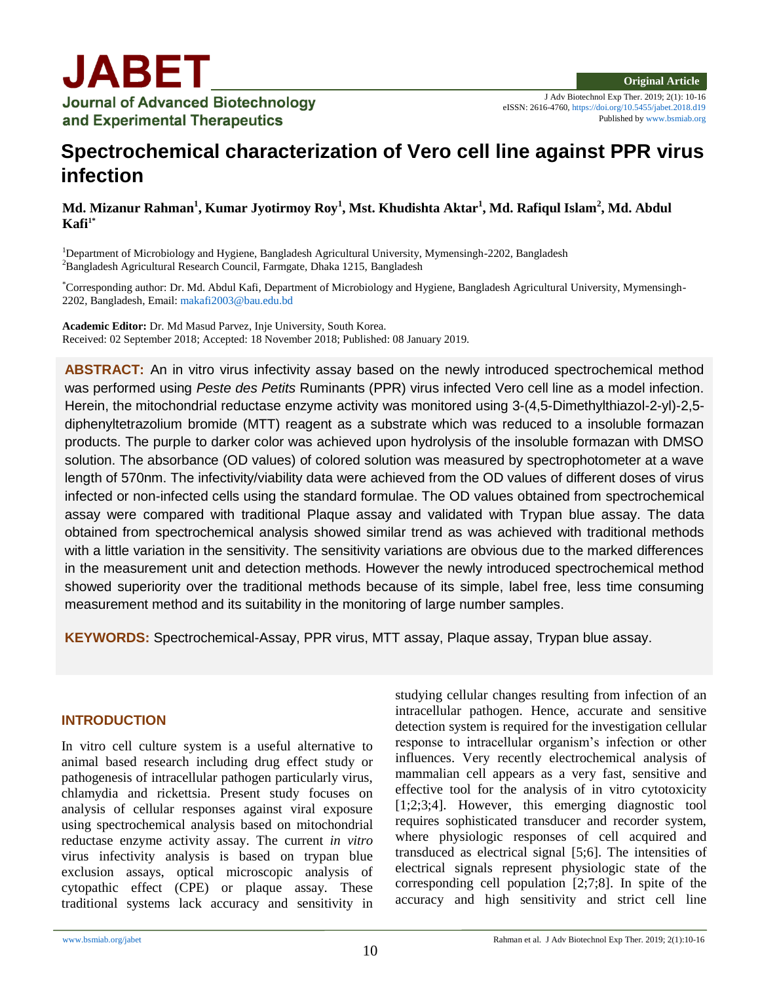J Adv Biotechnol Exp Ther. 2019; 2(1): 10-16 eISSN: 2616-4760[, https://doi.org/10.5455/jabet.2018.d19](https://doi.org/10.5455/jabet.2018.d19) Published b[y www.bsmiab.org](http://www.bsmiab.org/)

# **Spectrochemical characterization of Vero cell line against PPR virus infection**

**Md. Mizanur Rahman<sup>1</sup> , Kumar Jyotirmoy Roy<sup>1</sup> , Mst. Khudishta Aktar<sup>1</sup> , Md. Rafiqul Islam<sup>2</sup> , Md. Abdul**   $K$ afi<sup>1\*</sup>

<sup>1</sup>Department of Microbiology and Hygiene, Bangladesh Agricultural University, Mymensingh-2202, Bangladesh <sup>2</sup>Bangladesh Agricultural Research Council, Farmgate, Dhaka 1215, Bangladesh

\*Corresponding author: Dr. Md. Abdul Kafi, Department of Microbiology and Hygiene, Bangladesh Agricultural University, Mymensingh-2202, Bangladesh, Email[: makafi2003@bau.edu.bd](mailto:makafi2003@bau.edu.bd)

**Academic Editor:** Dr. Md Masud Parvez, Inje University, South Korea. Received: 02 September 2018; Accepted: 18 November 2018; Published: 08 January 2019.

**ABSTRACT:** An in vitro virus infectivity assay based on the newly introduced spectrochemical method was performed using *Peste des Petits* Ruminants (PPR) virus infected Vero cell line as a model infection. Herein, the mitochondrial reductase enzyme activity was monitored using 3-(4,5-Dimethylthiazol-2-yl)-2,5 diphenyltetrazolium bromide (MTT) reagent as a substrate which was reduced to a insoluble formazan products. The purple to darker color was achieved upon hydrolysis of the insoluble formazan with DMSO solution. The absorbance (OD values) of colored solution was measured by spectrophotometer at a wave length of 570nm. The infectivity/viability data were achieved from the OD values of different doses of virus infected or non-infected cells using the standard formulae. The OD values obtained from spectrochemical assay were compared with traditional Plaque assay and validated with Trypan blue assay. The data obtained from spectrochemical analysis showed similar trend as was achieved with traditional methods with a little variation in the sensitivity. The sensitivity variations are obvious due to the marked differences in the measurement unit and detection methods. However the newly introduced spectrochemical method showed superiority over the traditional methods because of its simple, label free, less time consuming measurement method and its suitability in the monitoring of large number samples.

**KEYWORDS:** Spectrochemical-Assay, PPR virus, MTT assay, Plaque assay, Trypan blue assay.

#### **INTRODUCTION**

In vitro cell culture system is a useful alternative to animal based research including drug effect study or pathogenesis of intracellular pathogen particularly virus, chlamydia and rickettsia. Present study focuses on analysis of cellular responses against viral exposure using spectrochemical analysis based on mitochondrial reductase enzyme activity assay. The current *in vitro* virus infectivity analysis is based on trypan blue exclusion assays, optical microscopic analysis of cytopathic effect (CPE) or plaque assay. These traditional systems lack accuracy and sensitivity in studying cellular changes resulting from infection of an intracellular pathogen. Hence, accurate and sensitive detection system is required for the investigation cellular response to intracellular organism's infection or other influences. Very recently electrochemical analysis of mammalian cell appears as a very fast, sensitive and effective tool for the analysis of in vitro cytotoxicity [1;2;3;4]. However, this emerging diagnostic tool requires sophisticated transducer and recorder system, where physiologic responses of cell acquired and transduced as electrical signal [5;6]. The intensities of electrical signals represent physiologic state of the corresponding cell population [2;7;8]. In spite of the accuracy and high sensitivity and strict cell line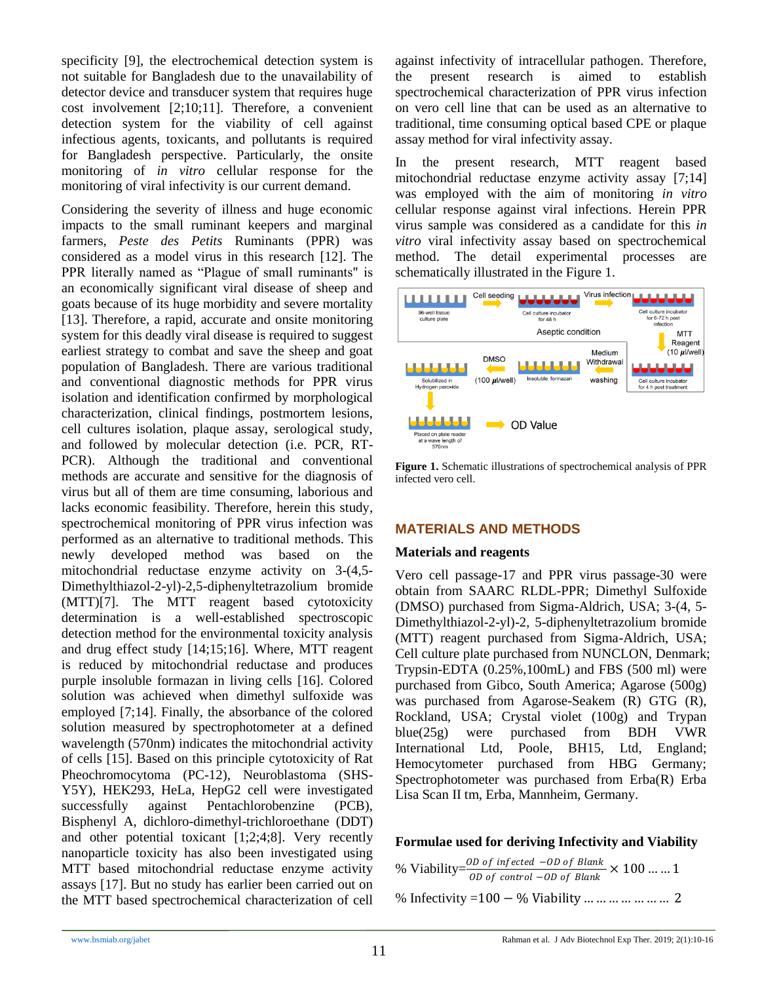specificity [9], the electrochemical detection system is not suitable for Bangladesh due to the unavailability of detector device and transducer system that requires huge cost involvement [2;10;11]. Therefore, a convenient detection system for the viability of cell against infectious agents, toxicants, and pollutants is required for Bangladesh perspective. Particularly, the onsite monitoring of *in vitro* cellular response for the monitoring of viral infectivity is our current demand.

Considering the severity of illness and huge economic impacts to the small ruminant keepers and marginal farmers, *Peste des Petits* Ruminants (PPR) was considered as a model virus in this research [12]. The PPR literally named as "Plague of small ruminants" is an economically significant viral disease of sheep and goats because of its huge morbidity and severe mortality [13]. Therefore, a rapid, accurate and onsite monitoring system for this deadly viral disease is required to suggest earliest strategy to combat and save the sheep and goat population of Bangladesh. There are various traditional and conventional diagnostic methods for PPR virus isolation and identification confirmed by morphological characterization, clinical findings, postmortem lesions, cell cultures isolation, plaque assay, serological study, and followed by molecular detection (i.e. PCR, RT-PCR). Although the traditional and conventional methods are accurate and sensitive for the diagnosis of virus but all of them are time consuming, laborious and lacks economic feasibility. Therefore, herein this study, spectrochemical monitoring of PPR virus infection was performed as an alternative to traditional methods. This newly developed method was based on the mitochondrial reductase enzyme activity on 3-(4,5- Dimethylthiazol-2-yl)-2,5-diphenyltetrazolium bromide (MTT)[7]. The MTT reagent based cytotoxicity determination is a well-established spectroscopic detection method for the environmental toxicity analysis and drug effect study [14;15;16]. Where, MTT reagent is reduced by mitochondrial reductase and produces purple insoluble formazan in living cells [16]. Colored solution was achieved when dimethyl sulfoxide was employed [7;14]. Finally, the absorbance of the colored solution measured by spectrophotometer at a defined wavelength (570nm) indicates the mitochondrial activity of cells [15]. Based on this principle cytotoxicity of Rat Pheochromocytoma (PC-12), Neuroblastoma (SHS-Y5Y), HEK293, HeLa, HepG2 cell were investigated successfully against Pentachlorobenzine (PCB), Bisphenyl A, dichloro-dimethyl-trichloroethane (DDT) and other potential toxicant [1;2;4;8]. Very recently nanoparticle toxicity has also been investigated using MTT based mitochondrial reductase enzyme activity assays [17]. But no study has earlier been carried out on the MTT based spectrochemical characterization of cell

against infectivity of intracellular pathogen. Therefore, the present research is aimed to establish spectrochemical characterization of PPR virus infection on vero cell line that can be used as an alternative to traditional, time consuming optical based CPE or plaque assay method for viral infectivity assay.

In the present research, MTT reagent based mitochondrial reductase enzyme activity assay [7;14] was employed with the aim of monitoring *in vitro*  cellular response against viral infections. Herein PPR virus sample was considered as a candidate for this *in vitro* viral infectivity assay based on spectrochemical method. The detail experimental processes are schematically illustrated in the Figure 1.



**Figure 1.** Schematic illustrations of spectrochemical analysis of PPR infected vero cell.

## **MATERIALS AND METHODS**

#### **Materials and reagents**

Vero cell passage-17 and PPR virus passage-30 were obtain from SAARC RLDL-PPR; Dimethyl Sulfoxide (DMSO) purchased from Sigma-Aldrich, USA; 3-(4, 5- Dimethylthiazol-2-yl)-2, 5-diphenyltetrazolium bromide (MTT) reagent purchased from Sigma-Aldrich, USA; Cell culture plate purchased from NUNCLON, Denmark; Trypsin-EDTA (0.25%,100mL) and FBS (500 ml) were purchased from Gibco, South America; Agarose (500g) was purchased from Agarose-Seakem (R) GTG (R), Rockland, USA; Crystal violet (100g) and Trypan blue(25g) were purchased from BDH VWR International Ltd, Poole, BH15, Ltd, England; Hemocytometer purchased from HBG Germany; Spectrophotometer was purchased from Erba(R) Erba Lisa Scan II tm, Erba, Mannheim, Germany.

## **Formulae used for deriving Infectivity and Viability**

|  | % Viability= $\frac{OD\ of\ infected\ -OD\ of\ Blank}{OD\ of\ control\ -OD\ of\ Blank} \times 100\  \  1$ |  |
|--|-----------------------------------------------------------------------------------------------------------|--|
|  | % Infectivity = $100 - \frac{1}{2}$ Viability       2                                                     |  |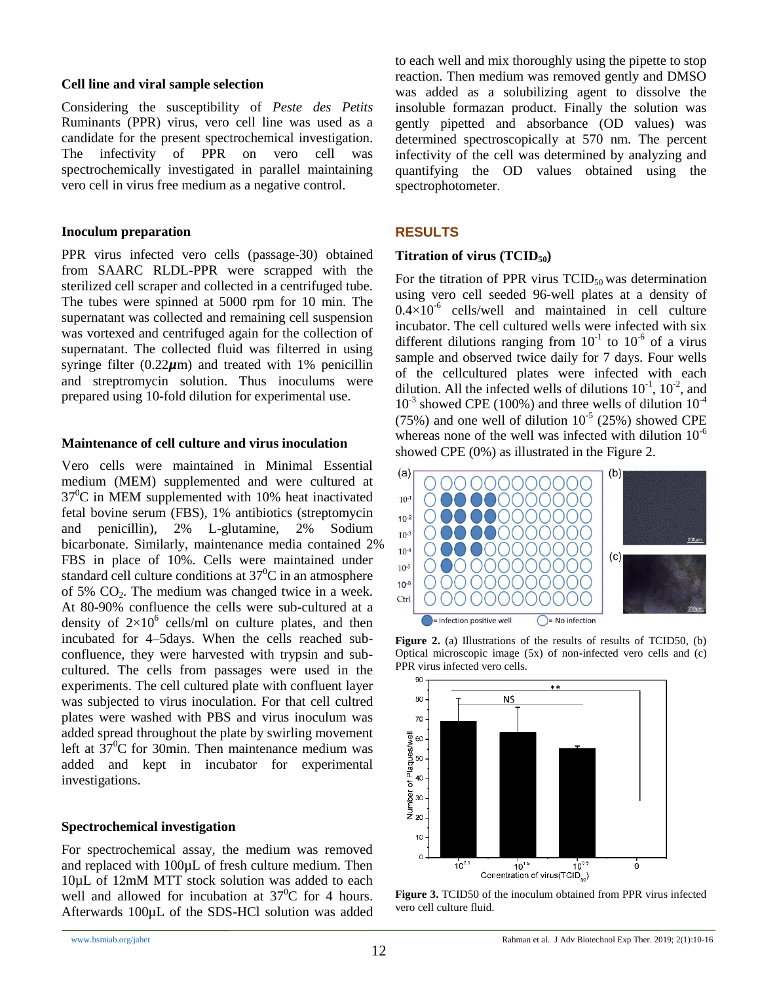#### **Cell line and viral sample selection**

Considering the susceptibility of *Peste des Petits* Ruminants (PPR) virus, vero cell line was used as a candidate for the present spectrochemical investigation. The infectivity of PPR on vero cell was spectrochemically investigated in parallel maintaining vero cell in virus free medium as a negative control.

#### **Inoculum preparation**

PPR virus infected vero cells (passage-30) obtained from SAARC RLDL-PPR were scrapped with the sterilized cell scraper and collected in a centrifuged tube. The tubes were spinned at 5000 rpm for 10 min. The supernatant was collected and remaining cell suspension was vortexed and centrifuged again for the collection of supernatant. The collected fluid was filterred in using syringe filter  $(0.22 \mu m)$  and treated with 1% penicillin and streptromycin solution. Thus inoculums were prepared using 10-fold dilution for experimental use.

#### **Maintenance of cell culture and virus inoculation**

Vero cells were maintained in Minimal Essential medium (MEM) supplemented and were cultured at  $37^{\circ}$ C in MEM supplemented with 10% heat inactivated fetal bovine serum (FBS), 1% antibiotics (streptomycin and penicillin), 2% L-glutamine, 2% Sodium bicarbonate. Similarly, maintenance media contained 2% FBS in place of 10%. Cells were maintained under standard cell culture conditions at  $37^{\circ}$ C in an atmosphere of 5%  $CO<sub>2</sub>$ . The medium was changed twice in a week. At 80-90% confluence the cells were sub-cultured at a density of  $2\times10^6$  cells/ml on culture plates, and then incubated for 4–5days. When the cells reached subconfluence, they were harvested with trypsin and subcultured. The cells from passages were used in the experiments. The cell cultured plate with confluent layer was subjected to virus inoculation. For that cell cultred plates were washed with PBS and virus inoculum was added spread throughout the plate by swirling movement left at  $37^{\circ}$ C for 30min. Then maintenance medium was added and kept in incubator for experimental investigations.

## **Spectrochemical investigation**

For spectrochemical assay, the medium was removed and replaced with 100µL of fresh culture medium. Then 10µL of 12mM MTT stock solution was added to each well and allowed for incubation at  $37^{\circ}$ C for 4 hours. Afterwards 100µL of the SDS-HCl solution was added to each well and mix thoroughly using the pipette to stop reaction. Then medium was removed gently and DMSO was added as a solubilizing agent to dissolve the insoluble formazan product. Finally the solution was gently pipetted and absorbance (OD values) was determined spectroscopically at 570 nm. The percent infectivity of the cell was determined by analyzing and quantifying the OD values obtained using the spectrophotometer.

## **RESULTS**

#### **Titration of virus (TCID50)**

For the titration of PPR virus  $TCID<sub>50</sub>$  was determination using vero cell seeded 96-well plates at a density of  $0.4 \times 10^{-6}$  cells/well and maintained in cell culture incubator. The cell cultured wells were infected with six different dilutions ranging from  $10^{-1}$  to  $10^{-6}$  of a virus sample and observed twice daily for 7 days. Four wells of the cellcultured plates were infected with each dilution. All the infected wells of dilutions  $10^{-1}$ ,  $10^{-2}$ , and  $10^{-3}$  showed CPE (100%) and three wells of dilution  $10^{-4}$ (75%) and one well of dilution  $10^{-5}$  (25%) showed CPE whereas none of the well was infected with dilution  $10^{-6}$ showed CPE (0%) as illustrated in the Figure 2.



**Figure 2.** (a) Illustrations of the results of results of TCID50, (b) Optical microscopic image (5x) of non-infected vero cells and (c) PPR virus infected vero cells.



**Figure 3.** TCID50 of the inoculum obtained from PPR virus infected vero cell culture fluid.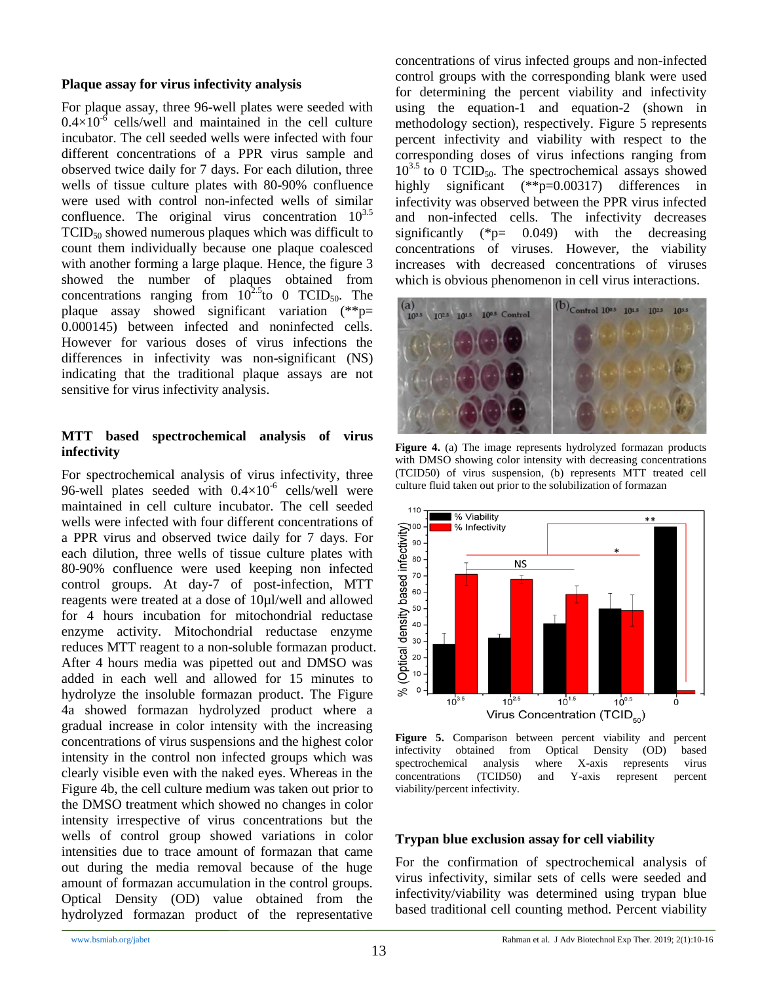#### **Plaque assay for virus infectivity analysis**

For plaque assay, three 96-well plates were seeded with  $0.4\times10^{-6}$  cells/well and maintained in the cell culture incubator. The cell seeded wells were infected with four different concentrations of a PPR virus sample and observed twice daily for 7 days. For each dilution, three wells of tissue culture plates with 80-90% confluence were used with control non-infected wells of similar confluence. The original virus concentration  $10^{3.5}$  $TCID<sub>50</sub>$  showed numerous plaques which was difficult to count them individually because one plaque coalesced with another forming a large plaque. Hence, the figure 3 showed the number of plaques obtained from concentrations ranging from  $10^{2.5}$  to 0 TCID<sub>50</sub>. The plaque assay showed significant variation (\*\*p= 0.000145) between infected and noninfected cells. However for various doses of virus infections the differences in infectivity was non-significant (NS) indicating that the traditional plaque assays are not sensitive for virus infectivity analysis.

#### **MTT based spectrochemical analysis of virus infectivity**

For spectrochemical analysis of virus infectivity, three 96-well plates seeded with  $0.4 \times 10^{-6}$  cells/well were maintained in cell culture incubator. The cell seeded wells were infected with four different concentrations of a PPR virus and observed twice daily for 7 days. For each dilution, three wells of tissue culture plates with 80-90% confluence were used keeping non infected control groups. At day-7 of post-infection, MTT reagents were treated at a dose of 10µl/well and allowed for 4 hours incubation for mitochondrial reductase enzyme activity. Mitochondrial reductase enzyme reduces MTT reagent to a non-soluble formazan product. After 4 hours media was pipetted out and DMSO was added in each well and allowed for 15 minutes to hydrolyze the insoluble formazan product. The Figure 4a showed formazan hydrolyzed product where a gradual increase in color intensity with the increasing concentrations of virus suspensions and the highest color intensity in the control non infected groups which was clearly visible even with the naked eyes. Whereas in the Figure 4b, the cell culture medium was taken out prior to the DMSO treatment which showed no changes in color intensity irrespective of virus concentrations but the wells of control group showed variations in color intensities due to trace amount of formazan that came out during the media removal because of the huge amount of formazan accumulation in the control groups. Optical Density (OD) value obtained from the hydrolyzed formazan product of the representative

concentrations of virus infected groups and non-infected control groups with the corresponding blank were used for determining the percent viability and infectivity using the equation-1 and equation-2 (shown in methodology section), respectively. Figure 5 represents percent infectivity and viability with respect to the corresponding doses of virus infections ranging from  $10^{3.5}$  to 0 TCID<sub>50</sub>. The spectrochemical assays showed highly significant (\*\*p=0.00317) differences in infectivity was observed between the PPR virus infected and non-infected cells. The infectivity decreases significantly (\*p= 0.049) with the decreasing concentrations of viruses. However, the viability increases with decreased concentrations of viruses which is obvious phenomenon in cell virus interactions.



**Figure 4.** (a) The image represents hydrolyzed formazan products with DMSO showing color intensity with decreasing concentrations (TCID50) of virus suspension, (b) represents MTT treated cell culture fluid taken out prior to the solubilization of formazan



**Figure 5.** Comparison between percent viability and percent infectivity obtained from Optical Density (OD) based spectrochemical analysis where X-axis represents virus concentrations (TCID50) and Y-axis represent percent viability/percent infectivity.

#### **Trypan blue exclusion assay for cell viability**

For the confirmation of spectrochemical analysis of virus infectivity, similar sets of cells were seeded and infectivity/viability was determined using trypan blue based traditional cell counting method. Percent viability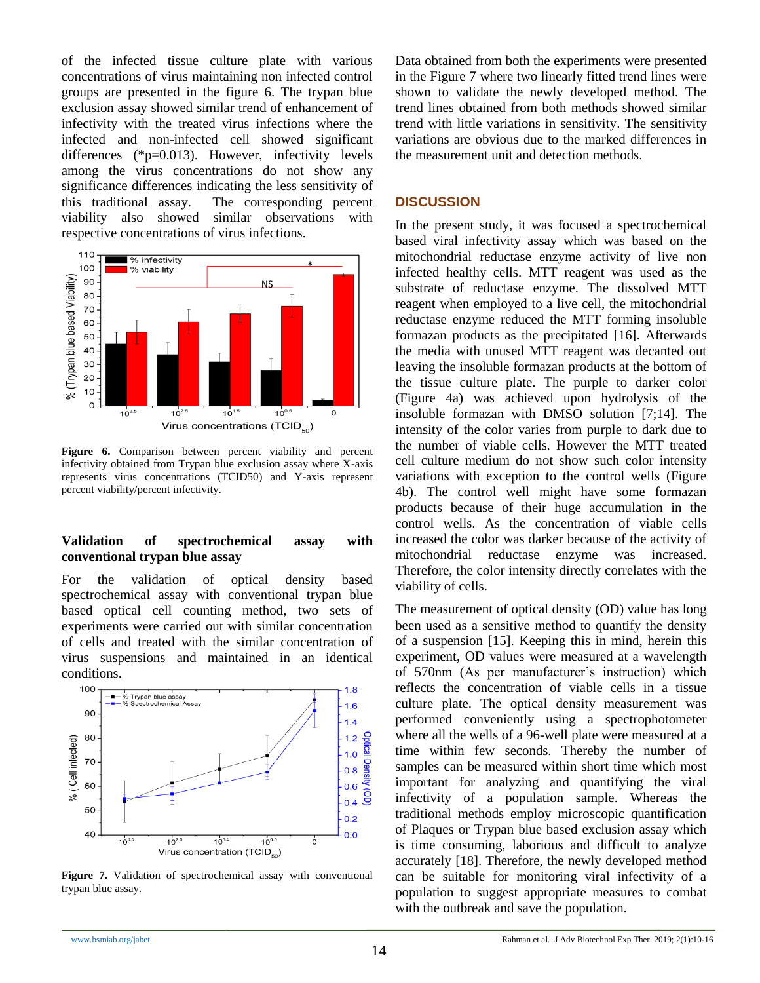of the infected tissue culture plate with various concentrations of virus maintaining non infected control groups are presented in the figure 6. The trypan blue exclusion assay showed similar trend of enhancement of infectivity with the treated virus infections where the infected and non-infected cell showed significant differences (\*p=0.013). However, infectivity levels among the virus concentrations do not show any significance differences indicating the less sensitivity of this traditional assay. The corresponding percent viability also showed similar observations with respective concentrations of virus infections.



**Figure 6.** Comparison between percent viability and percent infectivity obtained from Trypan blue exclusion assay where X-axis represents virus concentrations (TCID50) and Y-axis represent percent viability/percent infectivity.

#### **Validation of spectrochemical assay with conventional trypan blue assay**

For the validation of optical density based spectrochemical assay with conventional trypan blue based optical cell counting method, two sets of experiments were carried out with similar concentration of cells and treated with the similar concentration of virus suspensions and maintained in an identical conditions.



**Figure 7.** Validation of spectrochemical assay with conventional trypan blue assay.

Data obtained from both the experiments were presented in the Figure 7 where two linearly fitted trend lines were shown to validate the newly developed method. The trend lines obtained from both methods showed similar trend with little variations in sensitivity. The sensitivity variations are obvious due to the marked differences in the measurement unit and detection methods.

#### **DISCUSSION**

In the present study, it was focused a spectrochemical based viral infectivity assay which was based on the mitochondrial reductase enzyme activity of live non infected healthy cells. MTT reagent was used as the substrate of reductase enzyme. The dissolved MTT reagent when employed to a live cell, the mitochondrial reductase enzyme reduced the MTT forming insoluble formazan products as the precipitated [16]. Afterwards the media with unused MTT reagent was decanted out leaving the insoluble formazan products at the bottom of the tissue culture plate. The purple to darker color (Figure 4a) was achieved upon hydrolysis of the insoluble formazan with DMSO solution [7;14]. The intensity of the color varies from purple to dark due to the number of viable cells. However the MTT treated cell culture medium do not show such color intensity variations with exception to the control wells (Figure 4b). The control well might have some formazan products because of their huge accumulation in the control wells. As the concentration of viable cells increased the color was darker because of the activity of mitochondrial reductase enzyme was increased. Therefore, the color intensity directly correlates with the viability of cells.

The measurement of optical density (OD) value has long been used as a sensitive method to quantify the density of a suspension [15]. Keeping this in mind, herein this experiment, OD values were measured at a wavelength of 570nm (As per manufacturer's instruction) which reflects the concentration of viable cells in a tissue culture plate. The optical density measurement was performed conveniently using a spectrophotometer where all the wells of a 96-well plate were measured at a time within few seconds. Thereby the number of samples can be measured within short time which most important for analyzing and quantifying the viral infectivity of a population sample. Whereas the traditional methods employ microscopic quantification of Plaques or Trypan blue based exclusion assay which is time consuming, laborious and difficult to analyze accurately [18]. Therefore, the newly developed method can be suitable for monitoring viral infectivity of a population to suggest appropriate measures to combat with the outbreak and save the population.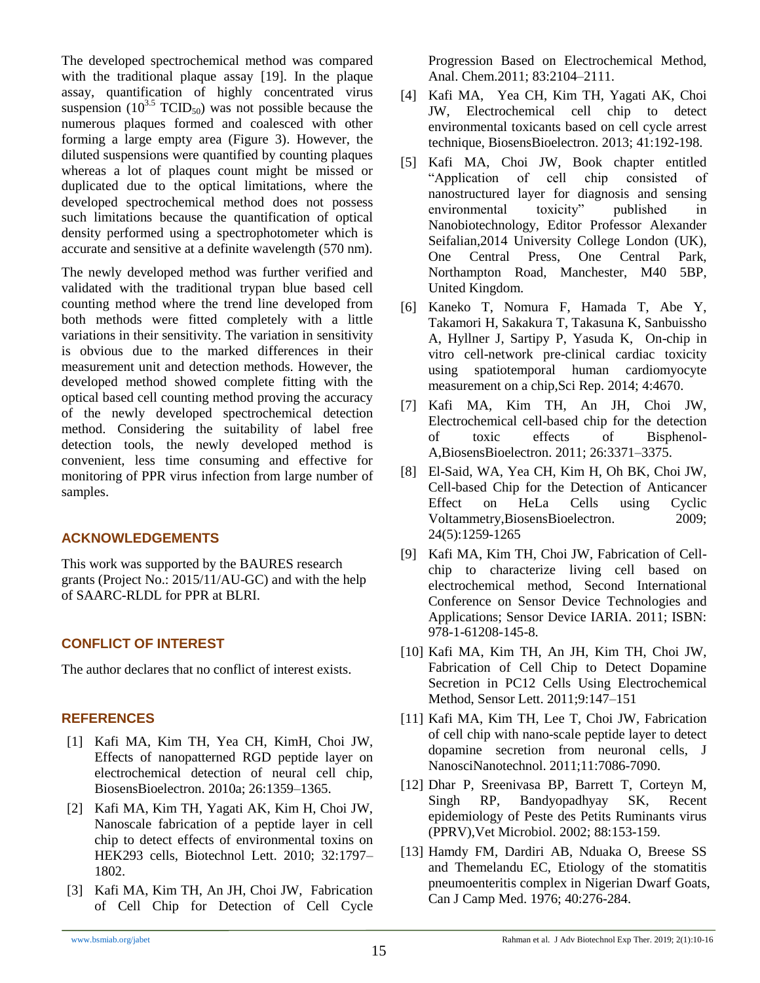The developed spectrochemical method was compared with the traditional plaque assay [19]. In the plaque assay, quantification of highly concentrated virus suspension ( $10^{3.5}$  TCID<sub>50</sub>) was not possible because the numerous plaques formed and coalesced with other forming a large empty area (Figure 3). However, the diluted suspensions were quantified by counting plaques whereas a lot of plaques count might be missed or duplicated due to the optical limitations, where the developed spectrochemical method does not possess such limitations because the quantification of optical density performed using a spectrophotometer which is accurate and sensitive at a definite wavelength (570 nm).

The newly developed method was further verified and validated with the traditional trypan blue based cell counting method where the trend line developed from both methods were fitted completely with a little variations in their sensitivity. The variation in sensitivity is obvious due to the marked differences in their measurement unit and detection methods. However, the developed method showed complete fitting with the optical based cell counting method proving the accuracy of the newly developed spectrochemical detection method. Considering the suitability of label free detection tools, the newly developed method is convenient, less time consuming and effective for monitoring of PPR virus infection from large number of samples.

## **ACKNOWLEDGEMENTS**

This work was supported by the BAURES research grants (Project No.: 2015/11/AU-GC) and with the help of SAARC-RLDL for PPR at BLRI.

# **CONFLICT OF INTEREST**

The author declares that no conflict of interest exists.

# **REFERENCES**

- [1] Kafi MA, Kim TH, Yea CH, KimH, Choi JW, Effects of nanopatterned RGD peptide layer on electrochemical detection of neural cell chip, BiosensBioelectron. 2010a; 26:1359–1365.
- [2] Kafi MA, Kim TH, Yagati AK, Kim H, Choi JW, Nanoscale fabrication of a peptide layer in cell chip to detect effects of environmental toxins on HEK293 cells, Biotechnol Lett. 2010; 32:1797– 1802.
- [3] Kafi MA, Kim TH, An JH, Choi JW, Fabrication of Cell Chip for Detection of Cell Cycle

Progression Based on Electrochemical Method, Anal. Chem.2011; 83:2104–2111.

- [4] Kafi MA, Yea CH, Kim TH, Yagati AK, Choi JW, Electrochemical cell chip to detect environmental toxicants based on cell cycle arrest technique, BiosensBioelectron. 2013; 41:192-198.
- [5] Kafi MA, Choi JW, Book chapter entitled "Application of cell chip consisted of nanostructured layer for diagnosis and sensing environmental toxicity" published in Nanobiotechnology, Editor Professor Alexander Seifalian,2014 University College London (UK), One Central Press, One Central Park, Northampton Road, Manchester, M40 5BP, United Kingdom.
- [6] Kaneko T, Nomura F, Hamada T, Abe Y, Takamori H, Sakakura T, Takasuna K, Sanbuissho A, Hyllner J, Sartipy P, Yasuda K, On-chip in vitro cell-network pre-clinical cardiac toxicity using spatiotemporal human cardiomyocyte measurement on a chip,Sci Rep. 2014; 4:4670.
- [7] Kafi MA, Kim TH, An JH, Choi JW, Electrochemical cell-based chip for the detection of toxic effects of Bisphenol-A,BiosensBioelectron. 2011; 26:3371–3375.
- [8] El-Said, WA, Yea CH, Kim H, Oh BK, Choi JW, Cell-based Chip for the Detection of Anticancer Effect on HeLa Cells using Cyclic Voltammetry,BiosensBioelectron. 2009; 24(5):1259-1265
- [9] Kafi MA, Kim TH, Choi JW, Fabrication of Cellchip to characterize living cell based on electrochemical method, Second International Conference on Sensor Device Technologies and Applications; Sensor Device IARIA. 2011; ISBN: 978-1-61208-145-8.
- [10] Kafi MA, Kim TH, An JH, Kim TH, Choi JW, Fabrication of Cell Chip to Detect Dopamine Secretion in PC12 Cells Using Electrochemical Method, Sensor Lett. 2011;9:147–151
- [11] Kafi MA, Kim TH, Lee T, Choi JW, Fabrication of cell chip with nano-scale peptide layer to detect dopamine secretion from neuronal cells, J NanosciNanotechnol. 2011;11:7086-7090.
- [12] Dhar P, Sreenivasa BP, Barrett T, Corteyn M, Singh RP, Bandyopadhyay SK, Recent epidemiology of Peste des Petits Ruminants virus (PPRV),Vet Microbiol. 2002; 88:153-159.
- [13] Hamdy FM, Dardiri AB, Nduaka O, Breese SS and Themelandu EC, Etiology of the stomatitis pneumoenteritis complex in Nigerian Dwarf Goats, Can J Camp Med. 1976; 40:276-284.